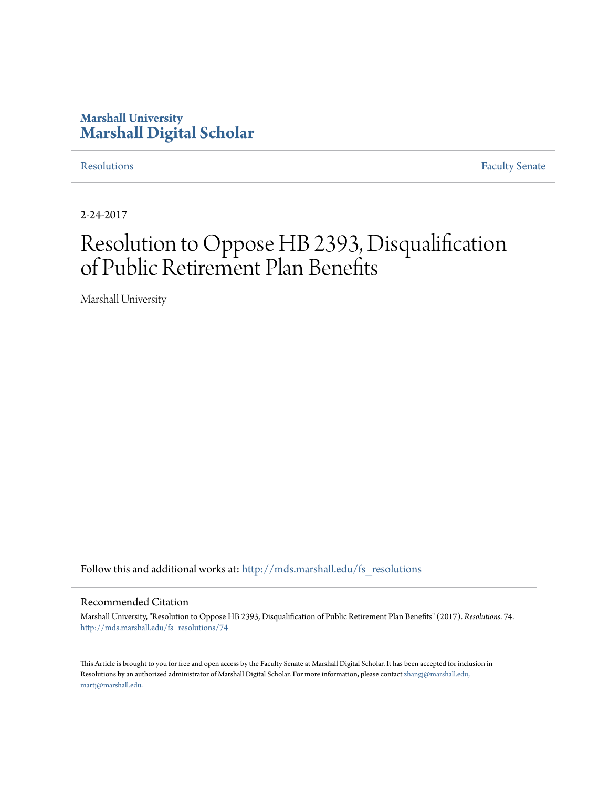# **Marshall University [Marshall Digital Scholar](http://mds.marshall.edu?utm_source=mds.marshall.edu%2Ffs_resolutions%2F74&utm_medium=PDF&utm_campaign=PDFCoverPages)**

[Resolutions](http://mds.marshall.edu/fs_resolutions?utm_source=mds.marshall.edu%2Ffs_resolutions%2F74&utm_medium=PDF&utm_campaign=PDFCoverPages) [Faculty Senate](http://mds.marshall.edu/fs?utm_source=mds.marshall.edu%2Ffs_resolutions%2F74&utm_medium=PDF&utm_campaign=PDFCoverPages)

2-24-2017

# Resolution to Oppose HB 2393, Disqualification of Public Retirement Plan Benefits

Marshall University

Follow this and additional works at: [http://mds.marshall.edu/fs\\_resolutions](http://mds.marshall.edu/fs_resolutions?utm_source=mds.marshall.edu%2Ffs_resolutions%2F74&utm_medium=PDF&utm_campaign=PDFCoverPages)

### Recommended Citation

Marshall University, "Resolution to Oppose HB 2393, Disqualification of Public Retirement Plan Benefits" (2017). *Resolutions*. 74. [http://mds.marshall.edu/fs\\_resolutions/74](http://mds.marshall.edu/fs_resolutions/74?utm_source=mds.marshall.edu%2Ffs_resolutions%2F74&utm_medium=PDF&utm_campaign=PDFCoverPages)

This Article is brought to you for free and open access by the Faculty Senate at Marshall Digital Scholar. It has been accepted for inclusion in Resolutions by an authorized administrator of Marshall Digital Scholar. For more information, please contact [zhangj@marshall.edu,](mailto:zhangj@marshall.edu,%20martj@marshall.edu) [martj@marshall.edu](mailto:zhangj@marshall.edu,%20martj@marshall.edu).